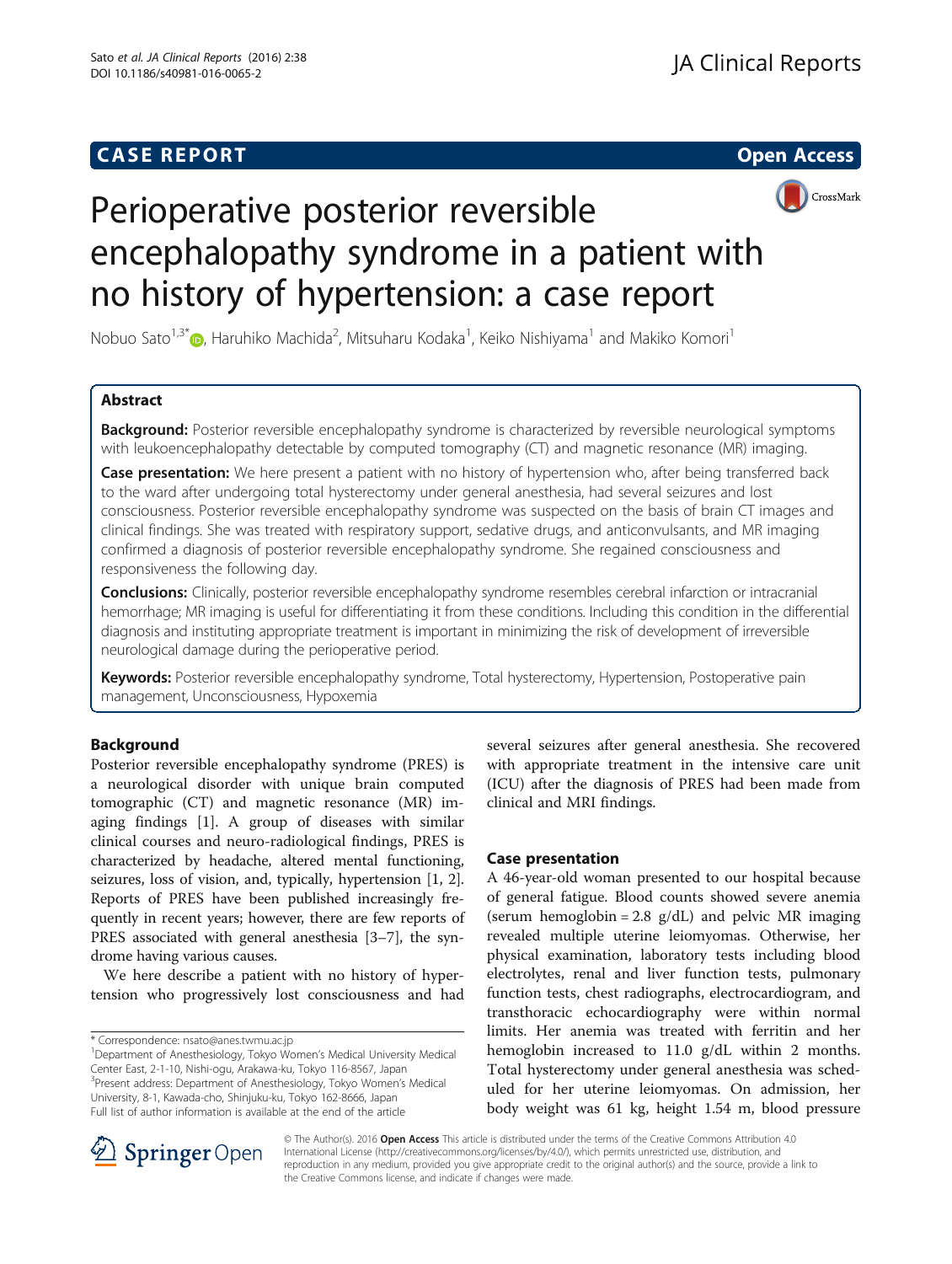## **CASE REPORT CASE REPORT CASE REPORT**





# Perioperative posterior reversible encephalopathy syndrome in a patient with no history of hypertension: a case report

Nobuo Sato<sup>1[,](http://orcid.org/0000-0003-0364-8120)3\*</sup>®, Haruhiko Machida<sup>2</sup>, Mitsuharu Kodaka<sup>1</sup>, Keiko Nishiyama<sup>1</sup> and Makiko Komori<sup>1</sup>

## Abstract

Background: Posterior reversible encephalopathy syndrome is characterized by reversible neurological symptoms with leukoencephalopathy detectable by computed tomography (CT) and magnetic resonance (MR) imaging.

Case presentation: We here present a patient with no history of hypertension who, after being transferred back to the ward after undergoing total hysterectomy under general anesthesia, had several seizures and lost consciousness. Posterior reversible encephalopathy syndrome was suspected on the basis of brain CT images and clinical findings. She was treated with respiratory support, sedative drugs, and anticonvulsants, and MR imaging confirmed a diagnosis of posterior reversible encephalopathy syndrome. She regained consciousness and responsiveness the following day.

Conclusions: Clinically, posterior reversible encephalopathy syndrome resembles cerebral infarction or intracranial hemorrhage; MR imaging is useful for differentiating it from these conditions. Including this condition in the differential diagnosis and instituting appropriate treatment is important in minimizing the risk of development of irreversible neurological damage during the perioperative period.

Keywords: Posterior reversible encephalopathy syndrome, Total hysterectomy, Hypertension, Postoperative pain management, Unconsciousness, Hypoxemia

## Background

Posterior reversible encephalopathy syndrome (PRES) is a neurological disorder with unique brain computed tomographic (CT) and magnetic resonance (MR) imaging findings [[1](#page-2-0)]. A group of diseases with similar clinical courses and neuro-radiological findings, PRES is characterized by headache, altered mental functioning, seizures, loss of vision, and, typically, hypertension [\[1, 2](#page-2-0)]. Reports of PRES have been published increasingly frequently in recent years; however, there are few reports of PRES associated with general anesthesia [\[3](#page-2-0)–[7](#page-2-0)], the syndrome having various causes.

We here describe a patient with no history of hypertension who progressively lost consciousness and had

\* Correspondence: [nsato@anes.twmu.ac.jp](mailto:nsato@anes.twmu.ac.jp) <sup>1</sup>

Department of Anesthesiology, Tokyo Women's Medical University Medical Center East, 2-1-10, Nishi-ogu, Arakawa-ku, Tokyo 116-8567, Japan <sup>3</sup>Present address: Department of Anesthesiology, Tokyo Women's Medical University, 8-1, Kawada-cho, Shinjuku-ku, Tokyo 162-8666, Japan Full list of author information is available at the end of the article

several seizures after general anesthesia. She recovered with appropriate treatment in the intensive care unit (ICU) after the diagnosis of PRES had been made from clinical and MRI findings.

### Case presentation

A 46-year-old woman presented to our hospital because of general fatigue. Blood counts showed severe anemia (serum hemoglobin = 2.8  $g/dL$ ) and pelvic MR imaging revealed multiple uterine leiomyomas. Otherwise, her physical examination, laboratory tests including blood electrolytes, renal and liver function tests, pulmonary function tests, chest radiographs, electrocardiogram, and transthoracic echocardiography were within normal limits. Her anemia was treated with ferritin and her hemoglobin increased to 11.0 g/dL within 2 months. Total hysterectomy under general anesthesia was scheduled for her uterine leiomyomas. On admission, her body weight was 61 kg, height 1.54 m, blood pressure



© The Author(s). 2016 Open Access This article is distributed under the terms of the Creative Commons Attribution 4.0 International License ([http://creativecommons.org/licenses/by/4.0/\)](http://creativecommons.org/licenses/by/4.0/), which permits unrestricted use, distribution, and reproduction in any medium, provided you give appropriate credit to the original author(s) and the source, provide a link to the Creative Commons license, and indicate if changes were made.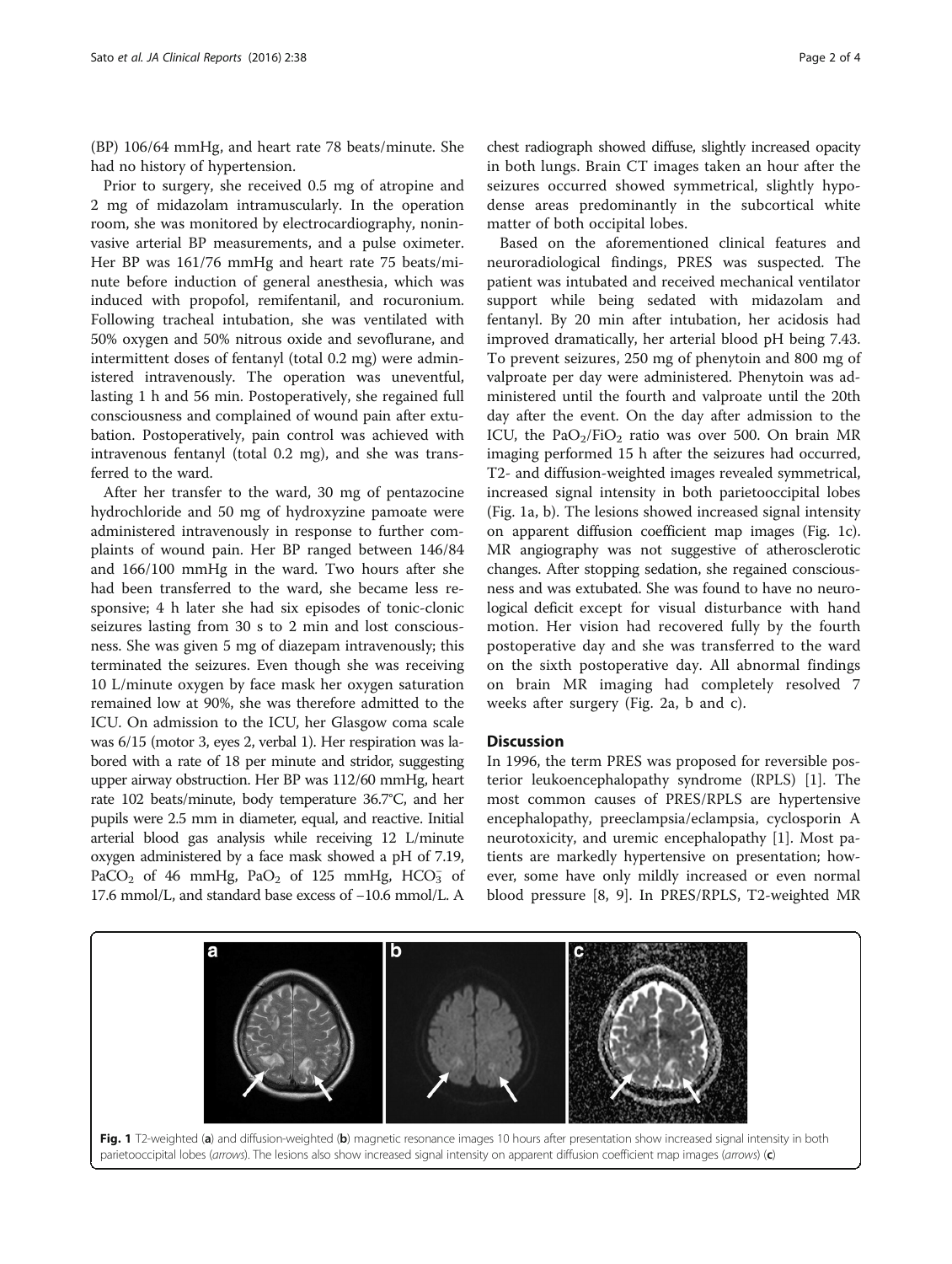(BP) 106/64 mmHg, and heart rate 78 beats/minute. She had no history of hypertension.

Prior to surgery, she received 0.5 mg of atropine and 2 mg of midazolam intramuscularly. In the operation room, she was monitored by electrocardiography, noninvasive arterial BP measurements, and a pulse oximeter. Her BP was 161/76 mmHg and heart rate 75 beats/minute before induction of general anesthesia, which was induced with propofol, remifentanil, and rocuronium. Following tracheal intubation, she was ventilated with 50% oxygen and 50% nitrous oxide and sevoflurane, and intermittent doses of fentanyl (total 0.2 mg) were administered intravenously. The operation was uneventful, lasting 1 h and 56 min. Postoperatively, she regained full consciousness and complained of wound pain after extubation. Postoperatively, pain control was achieved with intravenous fentanyl (total 0.2 mg), and she was transferred to the ward.

After her transfer to the ward, 30 mg of pentazocine hydrochloride and 50 mg of hydroxyzine pamoate were administered intravenously in response to further complaints of wound pain. Her BP ranged between 146/84 and 166/100 mmHg in the ward. Two hours after she had been transferred to the ward, she became less responsive; 4 h later she had six episodes of tonic-clonic seizures lasting from 30 s to 2 min and lost consciousness. She was given 5 mg of diazepam intravenously; this terminated the seizures. Even though she was receiving 10 L/minute oxygen by face mask her oxygen saturation remained low at 90%, she was therefore admitted to the ICU. On admission to the ICU, her Glasgow coma scale was 6/15 (motor 3, eyes 2, verbal 1). Her respiration was labored with a rate of 18 per minute and stridor, suggesting upper airway obstruction. Her BP was 112/60 mmHg, heart rate 102 beats/minute, body temperature 36.7°C, and her pupils were 2.5 mm in diameter, equal, and reactive. Initial arterial blood gas analysis while receiving 12 L/minute oxygen administered by a face mask showed a pH of 7.19, PaCO<sub>2</sub> of 46 mmHg, PaO<sub>2</sub> of 125 mmHg, HCO<sub>3</sub> of 17.6 mmol/L, and standard base excess of −10.6 mmol/L. A

chest radiograph showed diffuse, slightly increased opacity in both lungs. Brain CT images taken an hour after the seizures occurred showed symmetrical, slightly hypodense areas predominantly in the subcortical white matter of both occipital lobes.

Based on the aforementioned clinical features and neuroradiological findings, PRES was suspected. The patient was intubated and received mechanical ventilator support while being sedated with midazolam and fentanyl. By 20 min after intubation, her acidosis had improved dramatically, her arterial blood pH being 7.43. To prevent seizures, 250 mg of phenytoin and 800 mg of valproate per day were administered. Phenytoin was administered until the fourth and valproate until the 20th day after the event. On the day after admission to the ICU, the  $PaO<sub>2</sub>/FiO<sub>2</sub>$  ratio was over 500. On brain MR imaging performed 15 h after the seizures had occurred, T2- and diffusion-weighted images revealed symmetrical, increased signal intensity in both parietooccipital lobes (Fig. 1a, b). The lesions showed increased signal intensity on apparent diffusion coefficient map images (Fig. 1c). MR angiography was not suggestive of atherosclerotic changes. After stopping sedation, she regained consciousness and was extubated. She was found to have no neurological deficit except for visual disturbance with hand motion. Her vision had recovered fully by the fourth postoperative day and she was transferred to the ward on the sixth postoperative day. All abnormal findings on brain MR imaging had completely resolved 7 weeks after surgery (Fig. [2](#page-2-0)a, b and c).

#### **Discussion**

In 1996, the term PRES was proposed for reversible posterior leukoencephalopathy syndrome (RPLS) [[1\]](#page-2-0). The most common causes of PRES/RPLS are hypertensive encephalopathy, preeclampsia/eclampsia, cyclosporin A neurotoxicity, and uremic encephalopathy [\[1](#page-2-0)]. Most patients are markedly hypertensive on presentation; however, some have only mildly increased or even normal blood pressure [\[8, 9](#page-3-0)]. In PRES/RPLS, T2-weighted MR

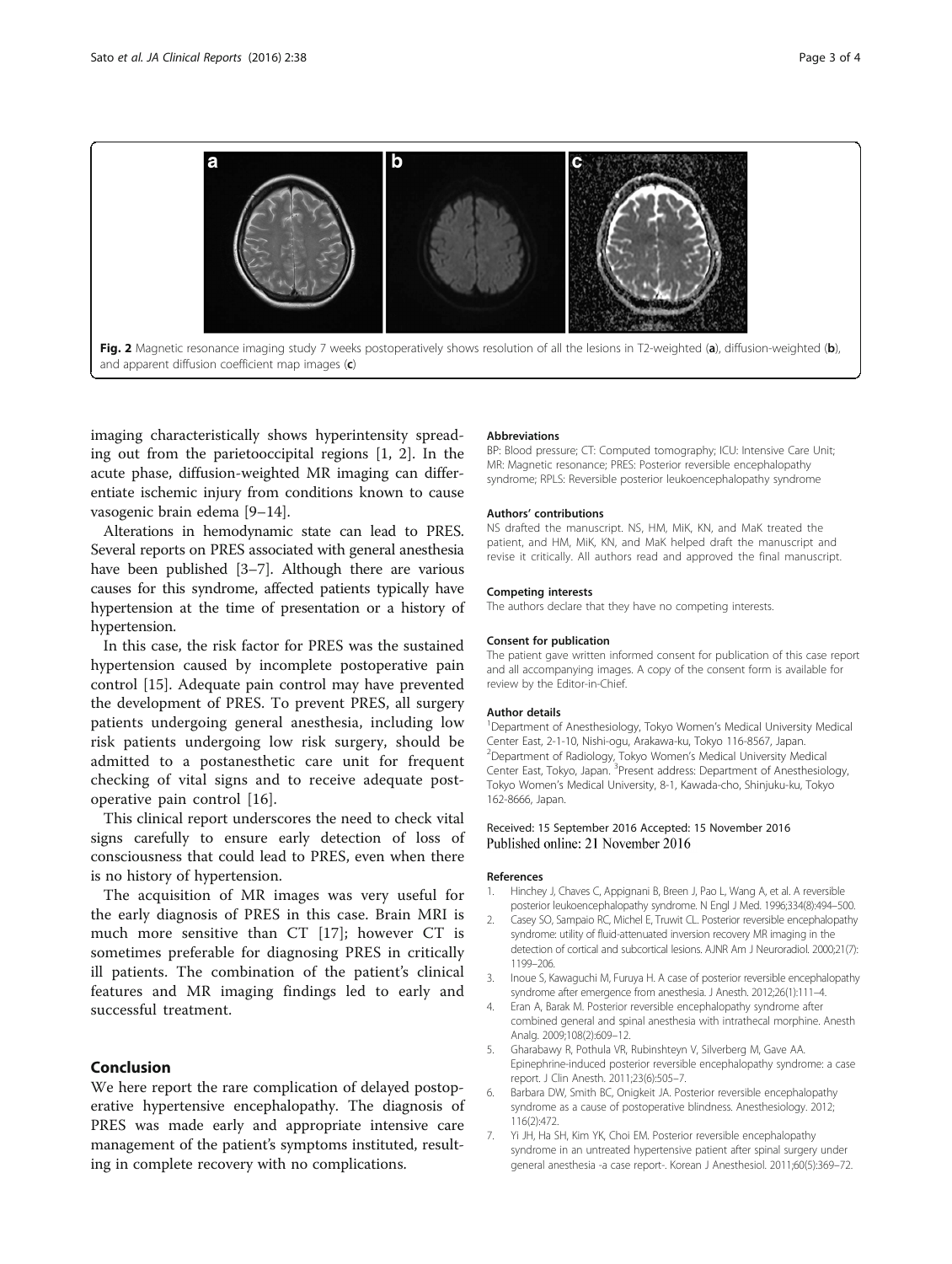<span id="page-2-0"></span>

imaging characteristically shows hyperintensity spreading out from the parietooccipital regions [1, 2]. In the acute phase, diffusion-weighted MR imaging can differentiate ischemic injury from conditions known to cause vasogenic brain edema [[9](#page-3-0)–[14](#page-3-0)].

Alterations in hemodynamic state can lead to PRES. Several reports on PRES associated with general anesthesia have been published [3–7]. Although there are various causes for this syndrome, affected patients typically have hypertension at the time of presentation or a history of hypertension.

In this case, the risk factor for PRES was the sustained hypertension caused by incomplete postoperative pain control [[15\]](#page-3-0). Adequate pain control may have prevented the development of PRES. To prevent PRES, all surgery patients undergoing general anesthesia, including low risk patients undergoing low risk surgery, should be admitted to a postanesthetic care unit for frequent checking of vital signs and to receive adequate postoperative pain control [[16\]](#page-3-0).

This clinical report underscores the need to check vital signs carefully to ensure early detection of loss of consciousness that could lead to PRES, even when there is no history of hypertension.

The acquisition of MR images was very useful for the early diagnosis of PRES in this case. Brain MRI is much more sensitive than CT [\[17](#page-3-0)]; however CT is sometimes preferable for diagnosing PRES in critically ill patients. The combination of the patient's clinical features and MR imaging findings led to early and successful treatment.

#### Conclusion

We here report the rare complication of delayed postoperative hypertensive encephalopathy. The diagnosis of PRES was made early and appropriate intensive care management of the patient's symptoms instituted, resulting in complete recovery with no complications.

#### Abbreviations

BP: Blood pressure; CT: Computed tomography; ICU: Intensive Care Unit; MR: Magnetic resonance; PRES: Posterior reversible encephalopathy syndrome; RPLS: Reversible posterior leukoencephalopathy syndrome

#### Authors' contributions

NS drafted the manuscript. NS, HM, MiK, KN, and MaK treated the patient, and HM, MiK, KN, and MaK helped draft the manuscript and revise it critically. All authors read and approved the final manuscript.

#### Competing interests

The authors declare that they have no competing interests.

#### Consent for publication

The patient gave written informed consent for publication of this case report and all accompanying images. A copy of the consent form is available for review by the Editor-in-Chief.

#### Author details

<sup>1</sup>Department of Anesthesiology, Tokyo Women's Medical University Medical Center East, 2-1-10, Nishi-ogu, Arakawa-ku, Tokyo 116-8567, Japan. 2 Department of Radiology, Tokyo Women's Medical University Medical Center East, Tokyo, Japan. <sup>3</sup>Present address: Department of Anesthesiology, Tokyo Women's Medical University, 8-1, Kawada-cho, Shinjuku-ku, Tokyo 162-8666, Japan.

#### Received: 15 September 2016 Accepted: 15 November 2016 Published online: 21 November 2016

#### References

- 1. Hinchey J, Chaves C, Appignani B, Breen J, Pao L, Wang A, et al. A reversible posterior leukoencephalopathy syndrome. N Engl J Med. 1996;334(8):494–500.
- Casey SO, Sampaio RC, Michel E, Truwit CL. Posterior reversible encephalopathy syndrome: utility of fluid-attenuated inversion recovery MR imaging in the detection of cortical and subcortical lesions. AJNR Am J Neuroradiol. 2000;21(7): 1199–206.
- 3. Inoue S, Kawaguchi M, Furuya H. A case of posterior reversible encephalopathy syndrome after emergence from anesthesia. J Anesth. 2012;26(1):111–4.
- 4. Eran A, Barak M. Posterior reversible encephalopathy syndrome after combined general and spinal anesthesia with intrathecal morphine. Anesth Analg. 2009;108(2):609–12.
- 5. Gharabawy R, Pothula VR, Rubinshteyn V, Silverberg M, Gave AA. Epinephrine-induced posterior reversible encephalopathy syndrome: a case report. J Clin Anesth. 2011;23(6):505–7.
- 6. Barbara DW, Smith BC, Onigkeit JA. Posterior reversible encephalopathy syndrome as a cause of postoperative blindness. Anesthesiology. 2012; 116(2):472.
- 7. Yi JH, Ha SH, Kim YK, Choi EM. Posterior reversible encephalopathy syndrome in an untreated hypertensive patient after spinal surgery under general anesthesia -a case report-. Korean J Anesthesiol. 2011;60(5):369–72.